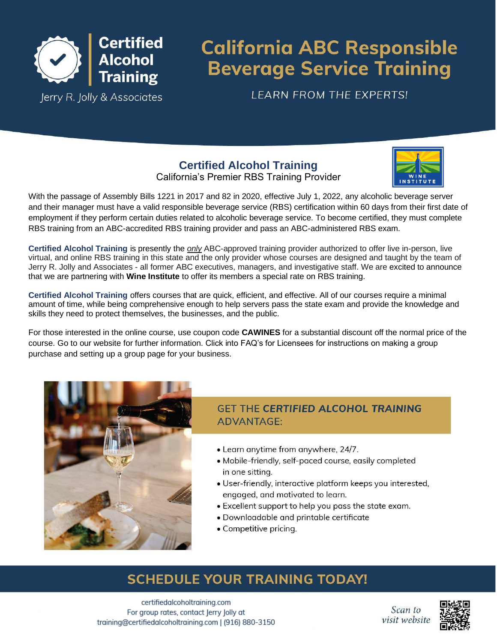

# **California ABC Responsible Beverage Service Training**

**LEARN FROM THE EXPERTS!** 

## **Certified Alcohol Training** California's Premier RBS Training Provider

| WINE             |
|------------------|
| <b>INSTITUTE</b> |

With the passage of Assembly Bills 1221 in 2017 and 82 in 2020, effective July 1, 2022, any alcoholic beverage server and their manager must have a valid responsible beverage service (RBS) certification within 60 days from their first date of employment if they perform certain duties related to alcoholic beverage service. To become certified, they must complete RBS training from an ABC-accredited RBS training provider and pass an ABC-administered RBS exam.

**Certified Alcohol Training** is presently the *only* ABC-approved training provider authorized to offer live in-person, live virtual, and online RBS training in this state and the only provider whose courses are designed and taught by the team of Jerry R. Jolly and Associates - all former ABC executives, managers, and investigative staff. We are excited to announce that we are partnering with **Wine Institute** to offer its members a special rate on RBS training.

**Certified Alcohol Training** offers courses that are quick, efficient, and effective. All of our courses require a minimal amount of time, while being comprehensive enough to help servers pass the state exam and provide the knowledge and skills they need to protect themselves, the businesses, and the public.

For those interested in the online course, use coupon code **CAWINES** for a substantial discount off the normal price of the course. Go to our website for further information. Click into FAQ's for Licensees for instructions on making a group purchase and setting up a group page for your business.



## **GFT THE CERTIFIED ALCOHOL TRAINING ADVANTAGE:**

- Learn anytime from anywhere, 24/7.
- Mobile-friendly, self-paced course, easily completed in one sitting.
- User-friendly, interactive platform keeps you interested, engaged, and motivated to learn.
- Excellent support to help you pass the state exam.
- · Downloadable and printable certificate
- Competitive pricing.

## **SCHEDULE YOUR TRAINING TODAY!**

certifiedalcoholtraining.com For group rates, contact Jerry Jolly at training@certifiedalcoholtraining.com | (916) 880-3150